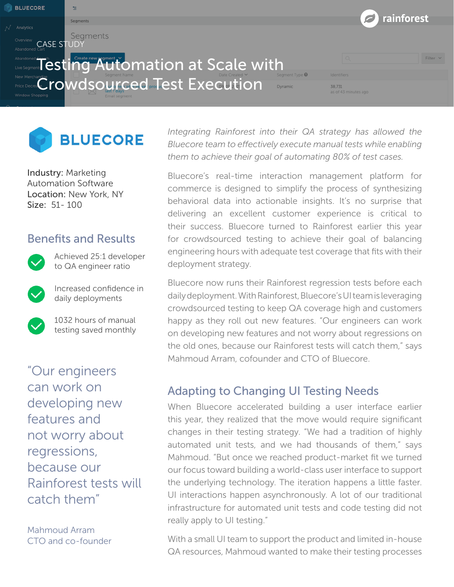rainforest Seament Segments CASE STUDY **Testing Automation at Scale with** Filter  $\sim$ Crowdsourced Test Execution 38,731



Industry: Marketing Automation Software Location: New York, NY Size: 51- 100

## Benefits and Results



**BLUECORE** 

Achieved 25:1 developer to QA engineer ratio

Increased confidence in daily deployments



1032 hours of manual testing saved monthly

"Our engineers can work on developing new features and not worry about regressions, because our Rainforest tests will catch them"

Mahmoud Arram CTO and co-founder *Integrating Rainforest into their QA strategy has allowed the Bluecore team to effectively execute manual tests while enabling them to achieve their goal of automating 80% of test cases.* 

[Bluecore](http://www.bluecore.com/)'s real-time interaction management platform for commerce is designed to simplify the process of synthesizing behavioral data into actionable insights. It's no surprise that delivering an excellent customer experience is critical to their success. Bluecore turned to Rainforest earlier this year for crowdsourced testing to achieve their goal of balancing engineering hours with adequate test coverage that fits with their deployment strategy.

Bluecore now runs their Rainforest regression tests before each daily deployment. With Rainforest, Bluecore's UI team is leveraging crowdsourced testing to keep QA coverage high and customers happy as they roll out new features. "Our engineers can work on developing new features and not worry about regressions on the old ones, because our Rainforest tests will catch them," says Mahmoud Arram, cofounder and CTO of Bluecore.

# Adapting to Changing UI Testing Needs

When Bluecore accelerated building a user interface earlier this year, they realized that the move would require significant changes in their testing strategy. "We had a tradition of highly automated unit tests, and we had thousands of them," says Mahmoud. "But once we reached product-market fit we turned our focus toward building a world-class user interface to support the underlying technology. The iteration happens a little faster. UI interactions happen asynchronously. A lot of our traditional infrastructure for automated unit tests and code testing did not really apply to UI testing."

With a small UI team to support the product and limited in-house QA resources, Mahmoud wanted to make their testing processes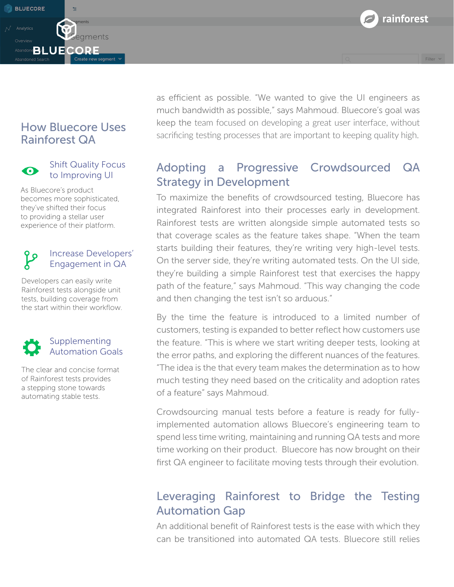rainforest

Filter  $\vee$ 

# How Bluecore Uses Rainforest QA

**BLUECORE** 



#### Shift Quality Focus to Improving UI

egments

Create new segment v

As Bluecore's product becomes more sophisticated, they've shifted their focus to providing a stellar user experience of their platform.

#### Increase Developers' ပို Engagement in QA

Developers can easily write Rainforest tests alongside unit tests, building coverage from the start within their workflow.

### **Supplementing** Automation Goals

The clear and concise format of Rainforest tests provides a stepping stone towards automating stable tests.

as efficient as possible. "We wanted to give the UI engineers as much bandwidth as possible," says Mahmoud. Bluecore's goal was keep the team focused on developing a great user interface, without sacrificing testing processes that are important to keeping quality high.

# Adopting a Progressive Crowdsourced QA Strategy in Development

To maximize the benefits of crowdsourced testing, Bluecore has integrated Rainforest into their processes early in development. Rainforest tests are written alongside simple automated tests so that coverage scales as the feature takes shape. "When the team starts building their features, they're writing very high-level tests. On the server side, they're writing automated tests. On the UI side, they're building a simple Rainforest test that exercises the happy path of the feature," says Mahmoud. "This way changing the code and then changing the test isn't so arduous."

By the time the feature is introduced to a limited number of customers, testing is expanded to better reflect how customers use the feature. "This is where we start writing deeper tests, looking at the error paths, and exploring the different nuances of the features. "The idea is the that every team makes the determination as to how much testing they need based on the criticality and adoption rates of a feature" says Mahmoud.

Crowdsourcing manual tests before a feature is ready for fullyimplemented automation allows Bluecore's engineering team to spend less time writing, maintaining and running QA tests and more time working on their product. Bluecore has now brought on their first QA engineer to facilitate moving tests through their evolution.

# Leveraging Rainforest to Bridge the Testing Automation Gap

An additional benefit of Rainforest tests is the ease with which they can be transitioned into automated QA tests. Bluecore still relies